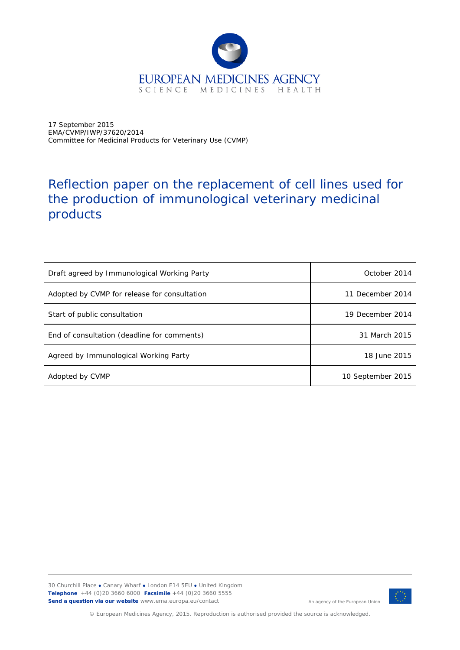

17 September 2015 EMA/CVMP/IWP/37620/2014 Committee for Medicinal Products for Veterinary Use (CVMP)

# Reflection paper on the replacement of cell lines used for the production of immunological veterinary medicinal products

| Draft agreed by Immunological Working Party  | October 2014      |
|----------------------------------------------|-------------------|
| Adopted by CVMP for release for consultation | 11 December 2014  |
| Start of public consultation                 | 19 December 2014  |
| End of consultation (deadline for comments)  | 31 March 2015     |
| Agreed by Immunological Working Party        | 18 June 2015      |
| Adopted by CVMP                              | 10 September 2015 |

30 Churchill Place **●** Canary Wharf **●** London E14 5EU **●** United Kingdom **Telephone** +44 (0)20 3660 6000 **Facsimile** +44 (0)20 3660 5555 **Send a question via our website** www.ema.europa.eu/contact



An agency of the European Union

© European Medicines Agency, 2015. Reproduction is authorised provided the source is acknowledged.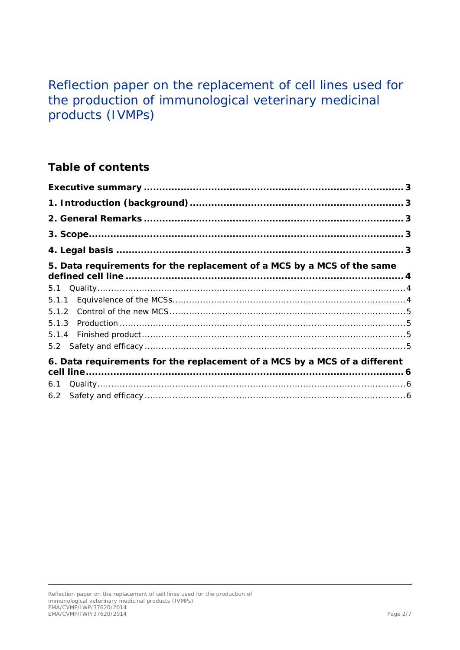# Reflection paper on the replacement of cell lines used for the production of immunological veterinary medicinal products (IVMPs)

# **Table of contents**

| 5. Data requirements for the replacement of a MCS by a MCS of the same    |  |
|---------------------------------------------------------------------------|--|
| 5.1                                                                       |  |
|                                                                           |  |
|                                                                           |  |
|                                                                           |  |
|                                                                           |  |
|                                                                           |  |
| 6. Data requirements for the replacement of a MCS by a MCS of a different |  |
| 6.1                                                                       |  |
| 6.2                                                                       |  |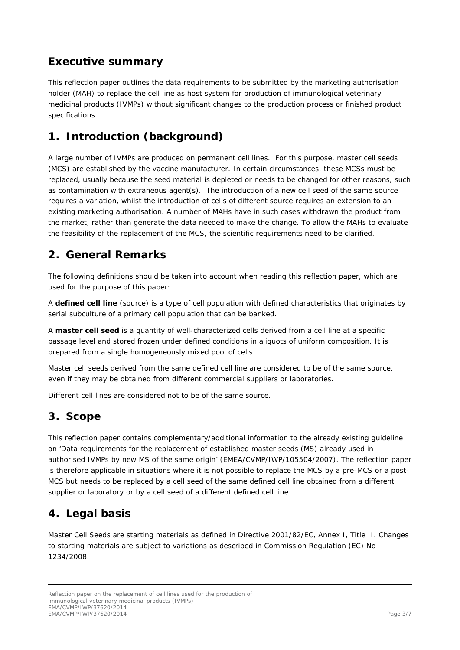## <span id="page-2-0"></span>**Executive summary**

This reflection paper outlines the data requirements to be submitted by the marketing authorisation holder (MAH) to replace the cell line as host system for production of immunological veterinary medicinal products (IVMPs) without significant changes to the production process or finished product specifications.

# <span id="page-2-1"></span>**1. Introduction (background)**

A large number of IVMPs are produced on permanent cell lines. For this purpose, master cell seeds (MCS) are established by the vaccine manufacturer. In certain circumstances, these MCSs must be replaced, usually because the seed material is depleted or needs to be changed for other reasons, such as contamination with extraneous agent(s). The introduction of a new cell seed of the same source requires a variation, whilst the introduction of cells of different source requires an extension to an existing marketing authorisation. A number of MAHs have in such cases withdrawn the product from the market, rather than generate the data needed to make the change. To allow the MAHs to evaluate the feasibility of the replacement of the MCS, the scientific requirements need to be clarified.

### <span id="page-2-2"></span>**2. General Remarks**

The following definitions should be taken into account when reading this reflection paper, which are used for the purpose of this paper:

A **defined cell line** (source) is a type of cell population with defined characteristics that originates by serial subculture of a primary cell population that can be banked.

A **master cell seed** is a quantity of well-characterized cells derived from a cell line at a specific passage level and stored frozen under defined conditions in aliquots of uniform composition. It is prepared from a single homogeneously mixed pool of cells.

Master cell seeds derived from the same defined cell line are considered to be of the same source, even if they may be obtained from different commercial suppliers or laboratories.

Different cell lines are considered not to be of the same source.

### <span id="page-2-3"></span>**3. Scope**

This reflection paper contains complementary/additional information to the already existing guideline on 'Data requirements for the replacement of established master seeds (MS) already used in authorised IVMPs by new MS of the same origin' (EMEA/CVMP/IWP/105504/2007). The reflection paper is therefore applicable in situations where it is not possible to replace the MCS by a pre-MCS or a post-MCS but needs to be replaced by a cell seed of the same defined cell line obtained from a different supplier or laboratory or by a cell seed of a different defined cell line.

## <span id="page-2-4"></span>**4. Legal basis**

Master Cell Seeds are starting materials as defined in Directive 2001/82/EC, Annex I, Title II. Changes to starting materials are subject to variations as described in Commission Regulation (EC) No 1234/2008.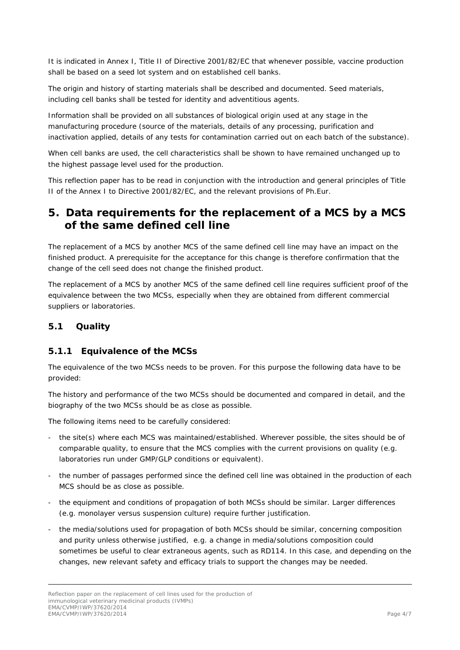It is indicated in Annex I, Title II of Directive 2001/82/EC that *whenever possible, vaccine production shall be based on a seed lot system and on established cell banks.*

*The origin and history of starting materials shall be described and documented. Seed materials, including cell banks shall be tested for identity and adventitious agents.*

*Information shall be provided on all substances of biological origin used at any stage in the manufacturing procedure (source of the materials, details of any processing, purification and inactivation applied, details of any tests for contamination carried out on each batch of the substance).*

*When cell banks are used, the cell characteristics shall be shown to have remained unchanged up to the highest passage level used for the production.*

This reflection paper has to be read in conjunction with the introduction and general principles of Title II of the Annex I to Directive 2001/82/EC, and the relevant provisions of Ph.Eur.

### <span id="page-3-0"></span>**5. Data requirements for the replacement of a MCS by a MCS of the same defined cell line**

The replacement of a MCS by another MCS of the same defined cell line may have an impact on the finished product. A prerequisite for the acceptance for this change is therefore confirmation that the change of the cell seed does not change the finished product.

The replacement of a MCS by another MCS of the same defined cell line requires sufficient proof of the equivalence between the two MCSs, especially when they are obtained from different commercial suppliers or laboratories.

#### <span id="page-3-1"></span>*5.1 Quality*

#### <span id="page-3-2"></span>**5.1.1 Equivalence of the MCSs**

The equivalence of the two MCSs needs to be proven. For this purpose the following data have to be provided:

The history and performance of the two MCSs should be documented and compared in detail, and the biography of the two MCSs should be as close as possible.

The following items need to be carefully considered:

- the site(s) where each MCS was maintained/established. Wherever possible, the sites should be of comparable quality, to ensure that the MCS complies with the current provisions on quality (e.g. laboratories run under GMP/GLP conditions or equivalent).
- the number of passages performed since the defined cell line was obtained in the production of each MCS should be as close as possible.
- the equipment and conditions of propagation of both MCSs should be similar. Larger differences (e.g. monolayer versus suspension culture) require further justification.
- the media/solutions used for propagation of both MCSs should be similar, concerning composition and purity unless otherwise justified, e.g. a change in media/solutions composition could sometimes be useful to clear extraneous agents, such as RD114. In this case, and depending on the changes, new relevant safety and efficacy trials to support the changes may be needed.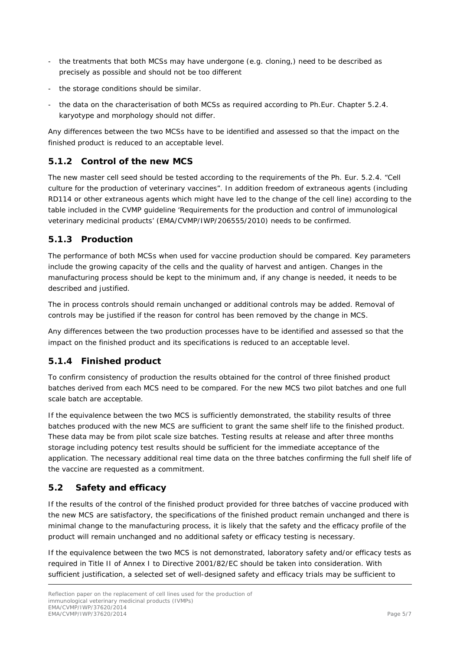- the treatments that both MCSs may have undergone (e.g. cloning,) need to be described as precisely as possible and should not be too different
- the storage conditions should be similar.
- the data on the characterisation of both MCSs as required according to Ph. Eur. Chapter 5.2.4. karyotype and morphology should not differ.

Any differences between the two MCSs have to be identified and assessed so that the impact on the finished product is reduced to an acceptable level.

#### <span id="page-4-0"></span>**5.1.2 Control of the new MCS**

The new master cell seed should be tested according to the requirements of the Ph. Eur. 5.2.4. "Cell culture for the production of veterinary vaccines". In addition freedom of extraneous agents (including RD114 or other extraneous agents which might have led to the change of the cell line) according to the table included in the CVMP guideline 'Requirements for the production and control of immunological veterinary medicinal products' (EMA/CVMP/IWP/206555/2010) needs to be confirmed.

#### <span id="page-4-1"></span>**5.1.3 Production**

The performance of both MCSs when used for vaccine production should be compared. Key parameters include the growing capacity of the cells and the quality of harvest and antigen. Changes in the manufacturing process should be kept to the minimum and, if any change is needed, it needs to be described and justified.

The *in process* controls should remain unchanged or additional controls may be added. Removal of controls may be justified if the reason for control has been removed by the change in MCS.

Any differences between the two production processes have to be identified and assessed so that the impact on the finished product and its specifications is reduced to an acceptable level.

#### <span id="page-4-2"></span>**5.1.4 Finished product**

To confirm consistency of production the results obtained for the control of three finished product batches derived from each MCS need to be compared. For the new MCS two pilot batches and one full scale batch are acceptable.

If the equivalence between the two MCS is sufficiently demonstrated, the stability results of three batches produced with the new MCS are sufficient to grant the same shelf life to the finished product. These data may be from pilot scale size batches. Testing results at release and after three months storage including potency test results should be sufficient for the immediate acceptance of the application. The necessary additional real time data on the three batches confirming the full shelf life of the vaccine are requested as a commitment.

#### <span id="page-4-3"></span>*5.2 Safety and efficacy*

If the results of the control of the finished product provided for three batches of vaccine produced with the new MCS are satisfactory, the specifications of the finished product remain unchanged and there is minimal change to the manufacturing process, it is likely that the safety and the efficacy profile of the product will remain unchanged and no additional safety or efficacy testing is necessary.

If the equivalence between the two MCS is not demonstrated, laboratory safety and/or efficacy tests as required in Title II of Annex I to Directive 2001/82/EC should be taken into consideration. With sufficient justification, a selected set of well-designed safety and efficacy trials may be sufficient to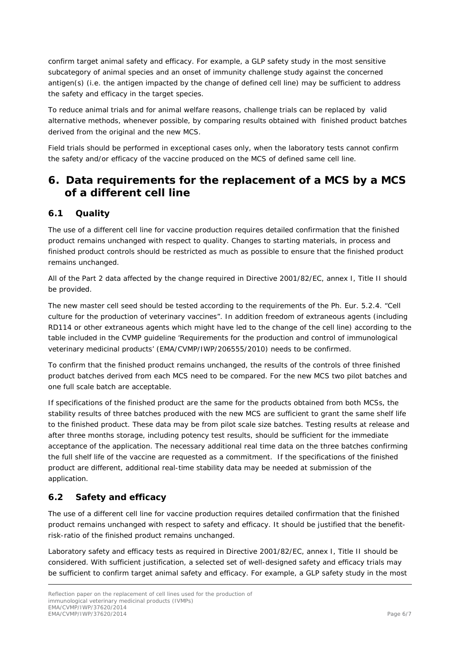confirm target animal safety and efficacy. For example, a GLP safety study in the most sensitive subcategory of animal species and an onset of immunity challenge study against the concerned antigen(s) (i.e. the antigen impacted by the change of defined cell line) may be sufficient to address the safety and efficacy in the target species.

To reduce animal trials and for animal welfare reasons, challenge trials can be replaced by valid alternative methods, whenever possible, by comparing results obtained with finished product batches derived from the original and the new MCS.

Field trials should be performed in exceptional cases only, when the laboratory tests cannot confirm the safety and/or efficacy of the vaccine produced on the MCS of defined same cell line.

### <span id="page-5-0"></span>**6. Data requirements for the replacement of a MCS by a MCS of a different cell line**

#### <span id="page-5-1"></span>*6.1 Quality*

The use of a different cell line for vaccine production requires detailed confirmation that the finished product remains unchanged with respect to quality. Changes to starting materials, in process and finished product controls should be restricted as much as possible to ensure that the finished product remains unchanged.

All of the Part 2 data affected by the change required in Directive 2001/82/EC, annex I, Title II should be provided.

The new master cell seed should be tested according to the requirements of the Ph. Eur. 5.2.4. "Cell culture for the production of veterinary vaccines". In addition freedom of extraneous agents (including RD114 or other extraneous agents which might have led to the change of the cell line) according to the table included in the CVMP guideline 'Requirements for the production and control of immunological veterinary medicinal products' (EMA/CVMP/IWP/206555/2010) needs to be confirmed.

To confirm that the finished product remains unchanged, the results of the controls of three finished product batches derived from each MCS need to be compared. For the new MCS two pilot batches and one full scale batch are acceptable.

If specifications of the finished product are the same for the products obtained from both MCSs, the stability results of three batches produced with the new MCS are sufficient to grant the same shelf life to the finished product. These data may be from pilot scale size batches. Testing results at release and after three months storage, including potency test results, should be sufficient for the immediate acceptance of the application. The necessary additional real time data on the three batches confirming the full shelf life of the vaccine are requested as a commitment. If the specifications of the finished product are different, additional real-time stability data may be needed at submission of the application.

#### <span id="page-5-2"></span>*6.2 Safety and efficacy*

The use of a different cell line for vaccine production requires detailed confirmation that the finished product remains unchanged with respect to safety and efficacy. It should be justified that the benefitrisk-ratio of the finished product remains unchanged.

Laboratory safety and efficacy tests as required in Directive 2001/82/EC, annex I, Title II should be considered. With sufficient justification, a selected set of well-designed safety and efficacy trials may be sufficient to confirm target animal safety and efficacy. For example, a GLP safety study in the most